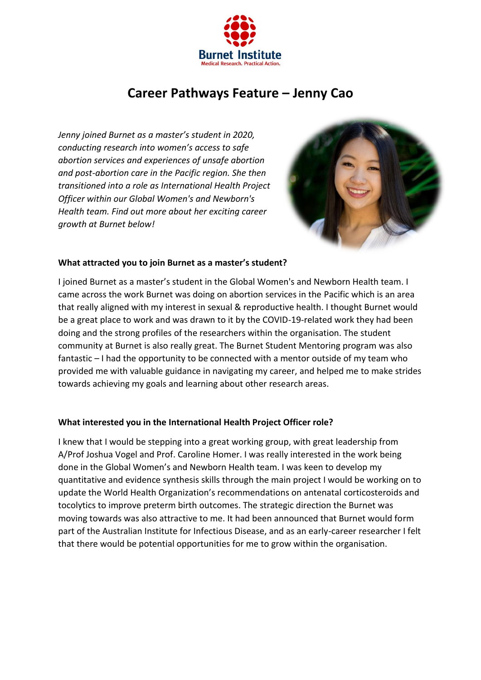

# **Career Pathways Feature – Jenny Cao**

*Jenny joined Burnet as a master's student in 2020, conducting research into women's access to safe abortion services and experiences of unsafe abortion and post-abortion care in the Pacific region. She then transitioned into a role as International Health Project Officer within our Global Women's and Newborn's Health team. Find out more about her exciting career growth at Burnet below!*



### **What attracted you to join Burnet as a master's student?**

I joined Burnet as a master's student in the Global Women's and Newborn Health team. I came across the work Burnet was doing on abortion services in the Pacific which is an area that really aligned with my interest in sexual & reproductive health. I thought Burnet would be a great place to work and was drawn to it by the COVID-19-related work they had been doing and the strong profiles of the researchers within the organisation. The student community at Burnet is also really great. The Burnet Student Mentoring program was also fantastic – I had the opportunity to be connected with a mentor outside of my team who provided me with valuable guidance in navigating my career, and helped me to make strides towards achieving my goals and learning about other research areas.

## **What interested you in the International Health Project Officer role?**

I knew that I would be stepping into a great working group, with great leadership from A/Prof Joshua Vogel and Prof. Caroline Homer. I was really interested in the work being done in the Global Women's and Newborn Health team. I was keen to develop my quantitative and evidence synthesis skills through the main project I would be working on to update the World Health Organization's recommendations on antenatal corticosteroids and tocolytics to improve preterm birth outcomes. The strategic direction the Burnet was moving towards was also attractive to me. It had been announced that Burnet would form part of the Australian Institute for Infectious Disease, and as an early-career researcher I felt that there would be potential opportunities for me to grow within the organisation.